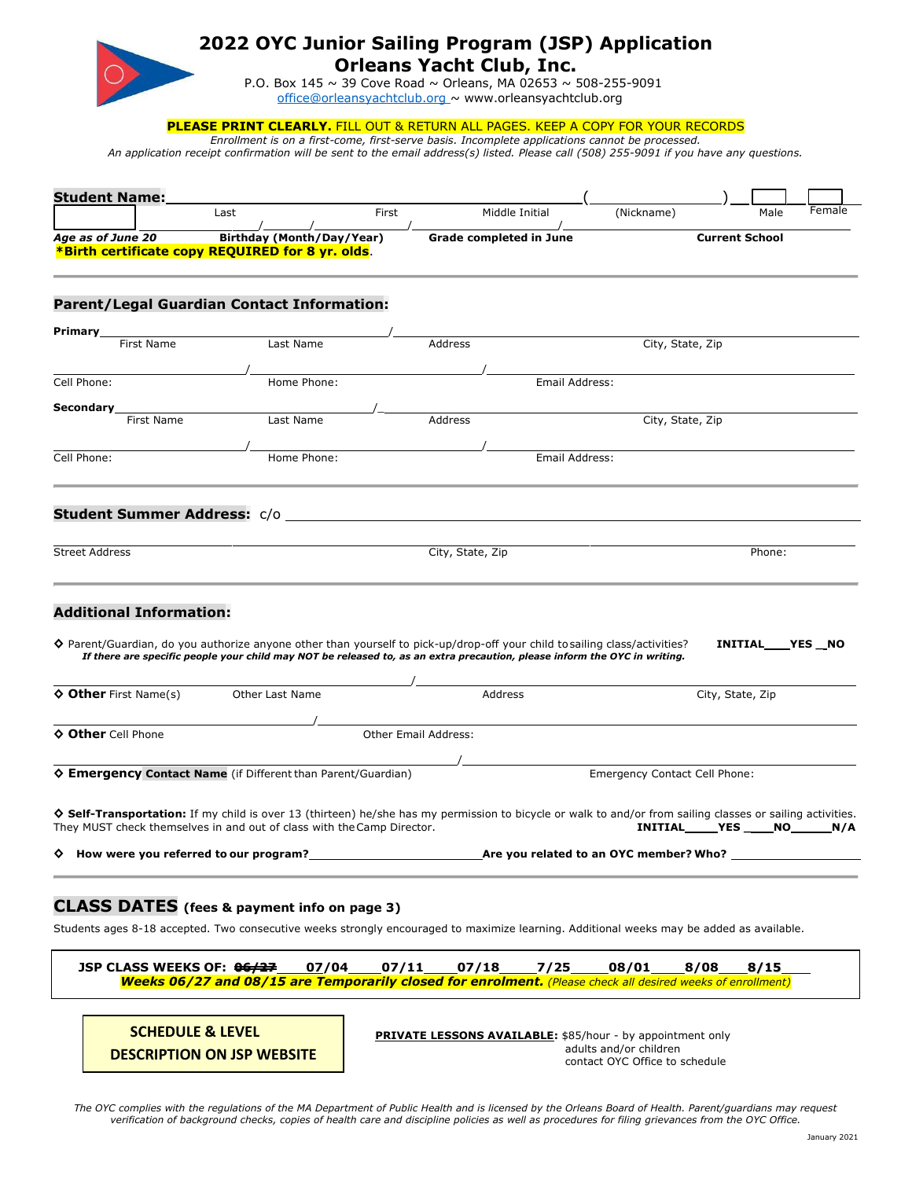

## **2022 OYC Junior Sailing Program (JSP) Application Orleans Yacht Club, Inc.**

P.O. Box 145 ~ 39 Cove Road ~ Orleans, MA 02653 ~ 508-255-9091 [office@orleansyachtclub.org ~](mailto:office@orleansyachtclub.org) [www.orleansyachtclub.org](http://www.orleansyachtclub.org/)

**PLEASE PRINT CLEARLY.** FILL OUT & RETURN ALL PAGES. KEEP A COPY FOR YOUR RECORDS

*Enrollment is on a first-come, first-serve basis. Incomplete applications cannot be processed. An application receipt confirmation will be sent to the email address(s) listed. Please call (508) 255-9091 if you have any questions.*

| <b>Student Name:</b>           |                                                                                                                                                                                                                                      |       |                         |                |                               |                       |                |        |
|--------------------------------|--------------------------------------------------------------------------------------------------------------------------------------------------------------------------------------------------------------------------------------|-------|-------------------------|----------------|-------------------------------|-----------------------|----------------|--------|
|                                | Last                                                                                                                                                                                                                                 | First | Middle Initial          |                | (Nickname)                    |                       | Male           | Female |
| Age as of June 20              | Birthday (Month/Day/Year)<br>*Birth certificate copy REQUIRED for 8 yr. olds.                                                                                                                                                        |       | Grade completed in June |                |                               | <b>Current School</b> |                |        |
|                                | <b>Parent/Legal Guardian Contact Information:</b>                                                                                                                                                                                    |       |                         |                |                               |                       |                |        |
| Primary_                       |                                                                                                                                                                                                                                      |       |                         |                |                               |                       |                |        |
| First Name                     | Last Name                                                                                                                                                                                                                            |       | Address                 |                | City, State, Zip              |                       |                |        |
| Cell Phone:                    | Home Phone:                                                                                                                                                                                                                          |       |                         | Email Address: |                               |                       |                |        |
| <b>Secondary</b>               |                                                                                                                                                                                                                                      |       |                         |                |                               |                       |                |        |
| <b>First Name</b>              | <b>Name</b> Last Name                                                                                                                                                                                                                |       | Address                 |                | City, State, Zip              |                       |                |        |
| Cell Phone:                    | Home Phone:                                                                                                                                                                                                                          |       |                         | Email Address: |                               |                       |                |        |
| <b>Street Address</b>          |                                                                                                                                                                                                                                      |       | City, State, Zip        |                |                               |                       | Phone:         |        |
| <b>Additional Information:</b> | $\lozenge$ Parent/Guardian, do you authorize anyone other than yourself to pick-up/drop-off your child tosailing class/activities?                                                                                                   |       |                         |                |                               |                       | INITIAL YES NO |        |
|                                | If there are specific people your child may NOT be released to, as an extra precaution, please inform the OYC in writing.                                                                                                            |       |                         |                |                               |                       |                |        |
| <b>♦ Other</b> First Name(s)   | Other Last Name                                                                                                                                                                                                                      |       | <b>Address</b>          |                |                               | City, State, Zip      |                |        |
|                                |                                                                                                                                                                                                                                      |       | Other Email Address:    |                |                               |                       |                |        |
| ♦ Other Cell Phone             |                                                                                                                                                                                                                                      |       |                         |                |                               |                       |                |        |
|                                | ♦ Emergency Contact Name (if Different than Parent/Guardian)                                                                                                                                                                         |       |                         |                | Emergency Contact Cell Phone: |                       |                |        |
|                                | ♦ Self-Transportation: If my child is over 13 (thirteen) he/she has my permission to bicycle or walk to and/or from sailing classes or sailing activities.<br>They MUST check themselves in and out of class with the Camp Director. |       |                         |                |                               |                       |                |        |
|                                | $\diamond$ How were you referred to our program?<br>Are you related to an OYC member? Who?                                                                                                                                           |       |                         |                |                               |                       |                |        |
|                                |                                                                                                                                                                                                                                      |       |                         |                |                               |                       |                |        |

### **CLASS DATES (fees & payment info on page 3)**

Students ages 8-18 accepted. Two consecutive weeks strongly encouraged to maximize learning. Additional weeks may be added as available.

| JSP CLASS WEEKS OF: <del>06/27</del> ____07/04____07/11____07/18_____7/25_____08/01_____8/08____8/15____          |  |  |  |  |  |  |  |  |
|-------------------------------------------------------------------------------------------------------------------|--|--|--|--|--|--|--|--|
| <b>Weeks 06/27 and 08/15 are Temporarily closed for enrolment.</b> (Please check all desired weeks of enrollment) |  |  |  |  |  |  |  |  |

**SCHEDULE & LEVEL DESCRIPTION ON JSP WEBSITE**

**PRIVATE LESSONS AVAILABLE:** \$85/hour - by appointment only adults and/or children contact OYC Office to schedule

*The OYC complies with the regulations of the MA Department of Public Health and is licensed by the Orleans Board of Health. Parent/guardians may request verification of background checks, copies of health care and discipline policies as well as procedures for filing grievances from the OYC Office.*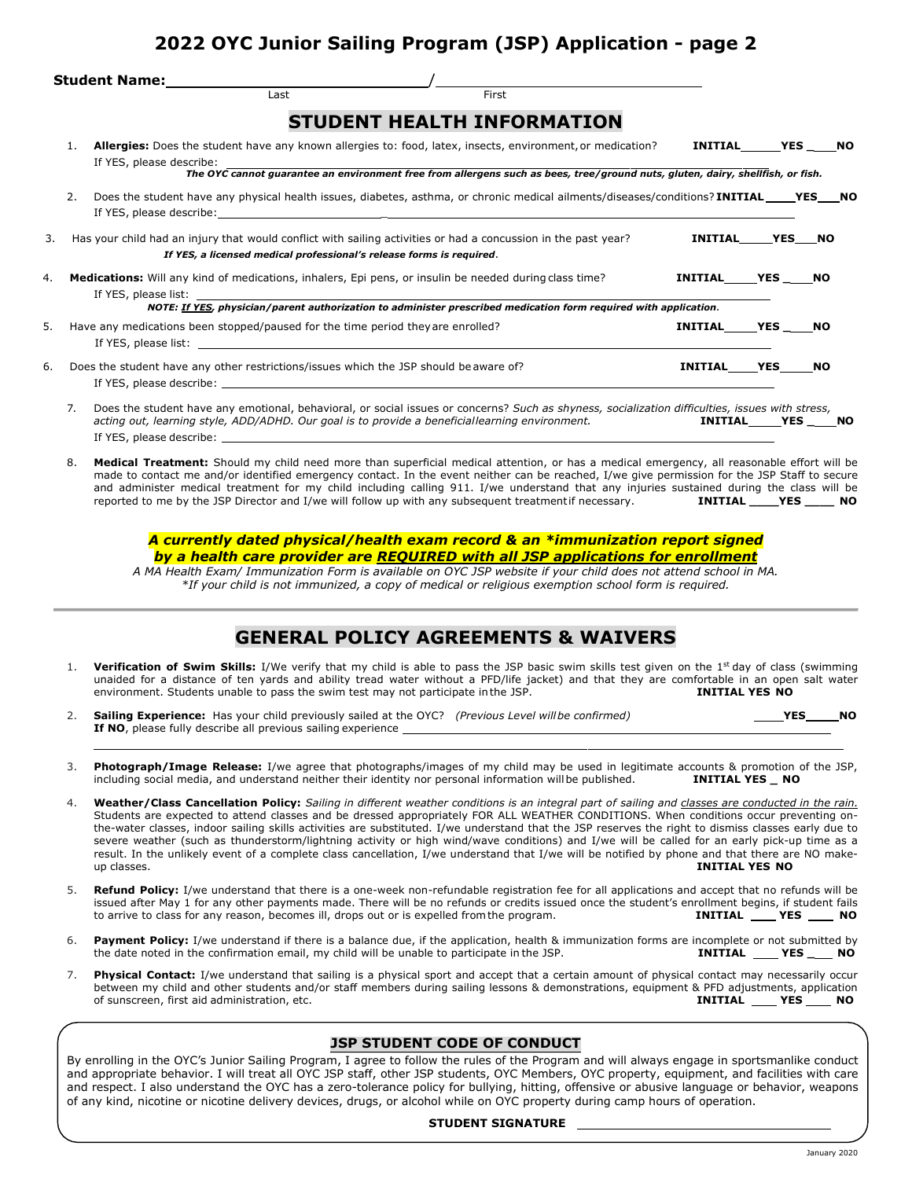# **2022 OYC Junior Sailing Program (JSP) Application - page 2**

|    |    | Student Name: Manual Manual Manual Manual Manual Manual Manual Manual Manual Manual Manual Manual Manual Manua                                                                                                                                                                                                                                  |                |     |            |           |
|----|----|-------------------------------------------------------------------------------------------------------------------------------------------------------------------------------------------------------------------------------------------------------------------------------------------------------------------------------------------------|----------------|-----|------------|-----------|
|    |    | Last<br>First                                                                                                                                                                                                                                                                                                                                   |                |     |            |           |
|    |    | <b>STUDENT HEALTH INFORMATION</b>                                                                                                                                                                                                                                                                                                               |                |     |            |           |
|    | 1. | Allergies: Does the student have any known allergies to: food, latex, insects, environment, or medication?<br>If YES, please describe:                                                                                                                                                                                                          | INITIAL        |     | <b>YES</b> | NO.       |
|    |    | The OYC cannot guarantee an environment free from allergens such as bees, tree/ground nuts, gluten, dairy, shellfish, or fish.                                                                                                                                                                                                                  |                |     |            |           |
|    | 2. | Does the student have any physical health issues, diabetes, asthma, or chronic medical ailments/diseases/conditions? INITIAL_____YES NO                                                                                                                                                                                                         |                |     |            |           |
| 3. |    | Has your child had an injury that would conflict with sailing activities or had a concussion in the past year?                                                                                                                                                                                                                                  | INITIAL YES NO |     |            |           |
|    |    | If YES, a licensed medical professional's release forms is required.                                                                                                                                                                                                                                                                            |                |     |            |           |
| 4. |    | <b>Medications:</b> Will any kind of medications, inhalers, Epi pens, or insulin be needed during class time?<br>If YES, please list: the contract of the contract of the contract of the contract of the contract of the contract of the contract of the contract of the contract of the contract of the contract of the contract of the contr | INITIAL YES NO |     |            |           |
|    |    | NOTE: If YES, physician/parent authorization to administer prescribed medication form required with application.                                                                                                                                                                                                                                |                |     |            |           |
| 5. |    | Have any medications been stopped/paused for the time period they are enrolled?                                                                                                                                                                                                                                                                 | INITIAL YES    |     | NO.        |           |
| 6. |    | Does the student have any other restrictions/issues which the JSP should be aware of?                                                                                                                                                                                                                                                           | INITIAL YES    |     | NO.        |           |
|    | 7. | Does the student have any emotional, behavioral, or social issues or concerns? Such as shyness, socialization difficulties, issues with stress,<br>acting out, learning style, ADD/ADHD. Our goal is to provide a beneficiallearning environment.                                                                                               | <b>INITIAL</b> | YES |            | <b>NO</b> |

8. **Medical Treatment:** Should my child need more than superficial medical attention, or has a medical emergency, all reasonable effort will be made to contact me and/or identified emergency contact. In the event neither can be reached, I/we give permission for the JSP Staff to secure and administer medical treatment for my child including calling 911. I/we understand that any injuries sustained during the class will be reported to me by the JSP Director and I/we will follow up with any subsequent treat reported to me by the JSP Director and I/we will follow up with any subsequent treatmentif necessary. **INITIAL \_\_\_\_YES \_\_\_\_ NO**

#### *A currently dated physical/health exam record & an \*immunization report signed by a health care provider are REQUIRED with all JSP applications for enrollment*

*A MA Health Exam/ Immunization Form is available on OYC JSP website if your child does not attend school in MA. \*If your child is not immunized, a copy of medical or religious exemption school form is required.*

## **GENERAL POLICY AGREEMENTS & WAIVERS**

- 1. **Verification of Swim Skills:** I/We verify that my child is able to pass the JSP basic swim skills test given on the 1st day of class (swimming unaided for a distance of ten yards and ability tread water without a PFD/life jacket) and that they are comfortable in an open salt water<br>environment. Students unable to pass the swim test may not participate in the JSP. environment. Students unable to pass the swim test may not participate in the JSP.
- 2. **Sailing Experience:** Has your child previously sailed at the OYC? *(Previous Level willbe confirmed)* **YES NO** If NO, please fully describe all previous sailing experience

If YES, please describe:

- 3. **Photograph/Image Release:** I/we agree that photographs/images of my child may be used in legitimate accounts & promotion of the JSP, including social media, and understand neither their identity nor personal information willbe published. **INITIAL YES \_ NO**
- 4. **Weather/Class Cancellation Policy:** *Sailing in different weather conditions is an integral part of sailing and classes are conducted in the rain.* Students are expected to attend classes and be dressed appropriately FOR ALL WEATHER CONDITIONS. When conditions occur preventing onthe-water classes, indoor sailing skills activities are substituted. I/we understand that the JSP reserves the right to dismiss classes early due to severe weather (such as thunderstorm/lightning activity or high wind/wave conditions) and I/we will be called for an early pick-up time as a result. In the unlikely event of a complete class cancellation, I/we understand that I/we will be notified by phone and that there are NO makeup classes. **INITIAL YES NO**
- 5. **Refund Policy:** I/we understand that there is a one-week non-refundable registration fee for all applications and accept that no refunds will be issued after May 1 for any other payments made. There will be no refunds or credits issued once the student's enrollment begins, if student fails<br>to arrive to class for any reason, becomes ill, drops out or is expelled fro to arrive to class for any reason, becomes ill, drops out or is expelled from the program.
- 6. **Payment Policy:** I/we understand if there is a balance due, if the application, health & immunization forms are incomplete or not submitted by the date noted in the confirmation email, my child will be unable to partic the date noted in the confirmation email, my child will be unable to participate in the JSP.
- 7. **Physical Contact:** I/we understand that sailing is a physical sport and accept that a certain amount of physical contact may necessarily occur between my child and other students and/or staff members during sailing lessons & demonstrations, equipment & PFD adjustments, application of sunscreen, first aid administration, etc. **INITIAL WES** NO

#### **JSP STUDENT CODE OF CONDUCT**

By enrolling in the OYC's Junior Sailing Program, I agree to follow the rules of the Program and will always engage in sportsmanlike conduct and appropriate behavior. I will treat all OYC JSP staff, other JSP students, OYC Members, OYC property, equipment, and facilities with care and respect. I also understand the OYC has a zero-tolerance policy for bullying, hitting, offensive or abusive language or behavior, weapons of any kind, nicotine or nicotine delivery devices, drugs, or alcohol while on OYC property during camp hours of operation.

#### **STUDENT SIGNATURE**